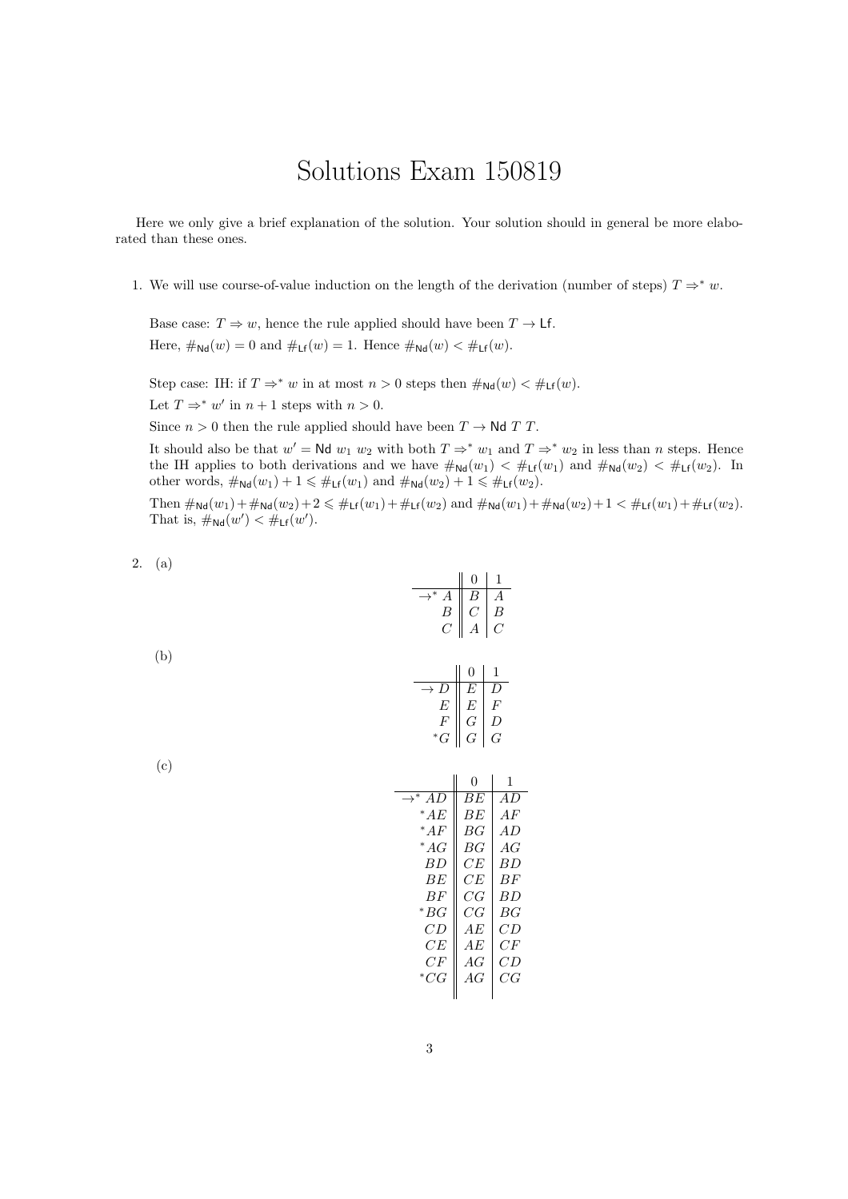## Solutions Exam 150819

Here we only give a brief explanation of the solution. Your solution should in general be more elaborated than these ones.

1. We will use course-of-value induction on the length of the derivation (number of steps)  $T \Rightarrow^* w$ .

Base case:  $T \Rightarrow w$ , hence the rule applied should have been  $T \rightarrow \mathsf{Lf}$ . Here,  $\#_{Nd}(w) = 0$  and  $\#_{Lf}(w) = 1$ . Hence  $\#_{Nd}(w) < \#_{Lf}(w)$ .

Step case: IH: if  $T \Rightarrow^* w$  in at most  $n > 0$  steps then  $\#_{Nd}(w) < \#_{Lf}(w)$ .

Let  $T \Rightarrow^* w'$  in  $n + 1$  steps with  $n > 0$ .

Since  $n > 0$  then the rule applied should have been  $T \to \mathsf{Nd} T T$ .

It should also be that  $w' = \mathsf{N}d w_1 w_2$  with both  $T \Rightarrow^* w_1$  and  $T \Rightarrow^* w_2$  in less than *n* steps. Hence the IH applies to both derivations and we have  $\#_{Nd}(w_1) < \#_{Lf}(w_1)$  and  $\#_{Nd}(w_2) < \#_{Lf}(w_2)$ . In other words,  $\#_{\mathsf{Nd}}(w_1)+1 \leq \#_{\mathsf{Lf}}(w_1)$  and  $\#_{\mathsf{Nd}}(w_2)+1 \leq \#_{\mathsf{Lf}}(w_2)$ .

Then  $\#_{\mathsf{Nd}}(w_1)+\#_{\mathsf{Nd}}(w_2)+2 \leqslant \#_{\mathsf{Lf}}(w_1)+\#_{\mathsf{Lf}}(w_2)$  and  $\#_{\mathsf{Nd}}(w_1)+\#_{\mathsf{Nd}}(w_2)+1 < \#_{\mathsf{Lf}}(w_1)+\#_{\mathsf{Lf}}(w_2)$ . That is,  $\#_{\mathsf{Nd}}(w') < \#_{\mathsf{Lf}}(w')$ .

2. (a)

$$
\begin{array}{c|c}\n & 0 & 1 \\
\hline\n\rightarrow^* A & B & A \\
B & C & B \\
C & A & C\n\end{array}
$$

(b)

|                | 0           |    |
|----------------|-------------|----|
|                | н,          |    |
| E              | E           | H, |
|                |             | D  |
| $\overline{G}$ | $\tilde{G}$ | F  |

| ۰.          |    |
|-------------|----|
| ٠<br>$\sim$ |    |
|             | ۰, |

|                      | 0  | 1      |
|----------------------|----|--------|
| $\rightarrow^* AD$   | ВE | A D    |
| * A $\scriptstyle E$ | ВE | A F    |
| $^*AF$               | ВG | AD     |
| $^*AG$               | ВG | AG     |
| BD.                  | CE | ВĐ     |
| ВE                   | CE | ВF     |
| BF                   | CG | ВĐ     |
| * BG                 | СG | ВG     |
| CD                   | АE | СĐ     |
| CE                   | ΑE | $C\,F$ |
| CF                   | AG | СĐ     |
| $^{\ast}CG$          | AG | CG     |
|                      |    |        |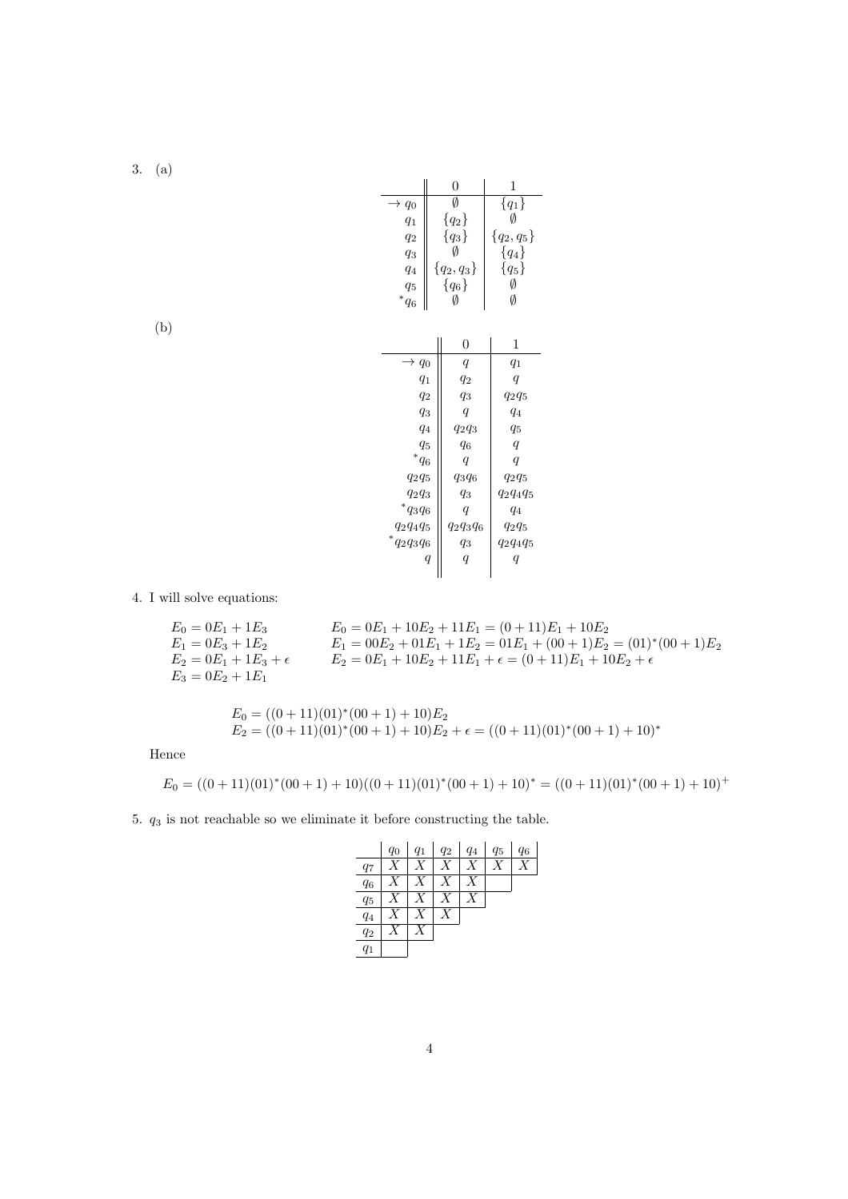3. (a)

| Ø<br>${q_1}$<br>$\rightarrow q_0$<br>Ø<br>${q_2}$<br>$q_1$<br>${q_3}$<br>${q_2, q_5}$<br>$q_2$<br>Ø<br>${q_4}$<br>$q_3$<br>${q_5}$<br>${q_2, q_3}$<br>$q_4$<br>Ø<br>${q_6}$<br>$q_5$<br>${}^*q_6$<br>Ø<br>Ø<br>0<br>1<br>$\rightarrow q_0$<br>$\boldsymbol{q}$<br>$q_1$<br>$q_1$<br>$q_2$<br>$\boldsymbol{q}$<br>$q_2$<br>$q_3$<br>$q_2q_5$<br>$q_3$<br>q<br>q <sub>4</sub><br>$q_4$<br>$q_2q_3$<br>$q_5$<br>$q_5$<br>$q_6$<br>q<br>$^{\ast}q_{6}$<br>$\boldsymbol{q}$<br>q<br>$q_3q_6$<br>$q_2q_5$<br>$q_2q_5$ |          | 0     | 1           |
|-----------------------------------------------------------------------------------------------------------------------------------------------------------------------------------------------------------------------------------------------------------------------------------------------------------------------------------------------------------------------------------------------------------------------------------------------------------------------------------------------------------------|----------|-------|-------------|
|                                                                                                                                                                                                                                                                                                                                                                                                                                                                                                                 |          |       |             |
|                                                                                                                                                                                                                                                                                                                                                                                                                                                                                                                 |          |       |             |
|                                                                                                                                                                                                                                                                                                                                                                                                                                                                                                                 |          |       |             |
|                                                                                                                                                                                                                                                                                                                                                                                                                                                                                                                 |          |       |             |
|                                                                                                                                                                                                                                                                                                                                                                                                                                                                                                                 |          |       |             |
|                                                                                                                                                                                                                                                                                                                                                                                                                                                                                                                 |          |       |             |
|                                                                                                                                                                                                                                                                                                                                                                                                                                                                                                                 |          |       |             |
|                                                                                                                                                                                                                                                                                                                                                                                                                                                                                                                 |          |       |             |
|                                                                                                                                                                                                                                                                                                                                                                                                                                                                                                                 |          |       |             |
|                                                                                                                                                                                                                                                                                                                                                                                                                                                                                                                 |          |       |             |
|                                                                                                                                                                                                                                                                                                                                                                                                                                                                                                                 |          |       |             |
|                                                                                                                                                                                                                                                                                                                                                                                                                                                                                                                 |          |       |             |
|                                                                                                                                                                                                                                                                                                                                                                                                                                                                                                                 |          |       |             |
|                                                                                                                                                                                                                                                                                                                                                                                                                                                                                                                 |          |       |             |
|                                                                                                                                                                                                                                                                                                                                                                                                                                                                                                                 |          |       |             |
|                                                                                                                                                                                                                                                                                                                                                                                                                                                                                                                 |          |       |             |
|                                                                                                                                                                                                                                                                                                                                                                                                                                                                                                                 |          |       |             |
|                                                                                                                                                                                                                                                                                                                                                                                                                                                                                                                 | $q_2q_3$ | $q_3$ | $q_2q_4q_5$ |
| $*_{q_3q_6}$<br>$\boldsymbol{q}$<br>$q_4$                                                                                                                                                                                                                                                                                                                                                                                                                                                                       |          |       |             |
| $q_2q_3q_6$<br>$q_2q_4q_5$<br>$q_2q_5$                                                                                                                                                                                                                                                                                                                                                                                                                                                                          |          |       |             |
| $*_{q_2q_3q_6}$<br>$q_3$<br>$q_2q_4q_5$                                                                                                                                                                                                                                                                                                                                                                                                                                                                         |          |       |             |
| $\boldsymbol{q}$<br>$\it q$<br>$\it q$                                                                                                                                                                                                                                                                                                                                                                                                                                                                          |          |       |             |

(b)

## 4. I will solve equations:

$$
E_0 = 0E_1 + 1E_3
$$
  
\n
$$
E_1 = 0E_3 + 1E_2
$$
  
\n
$$
E_2 = 0E_1 + 1E_3 + \epsilon
$$
  
\n
$$
E_3 = 0E_2 + 1E_1
$$
  
\n
$$
E_4 = 00E_2 + 01E_1 + 1E_2 = 01E_1 + (00 + 1)E_2 = (01)^*(00 + 1)E_2
$$
  
\n
$$
E_5 = 0E_1 + 1E_3 + \epsilon
$$
  
\n
$$
E_6 = 0E_2 + 1E_1 + 1E_2 = 01E_1 + (00 + 1)E_2 = (01)^*(00 + 1)E_2
$$
  
\n
$$
E_7 = 0E_1 + 10E_2 + 11E_1 + \epsilon = (0 + 11)E_1 + 10E_2 + \epsilon
$$

$$
E_0 = ((0+11)(01)*(00+1)+10)E_2
$$
  
\n
$$
E_2 = ((0+11)(01)*(00+1)+10)E_2 + \epsilon = ((0+11)(01)*(00+1)+10)*
$$

Hence

$$
E_0 = ((0+11)(01)^*(00+1)+10)((0+11)(01)^*(00+1)+10)^* = ((0+11)(01)^*(00+1)+10)^+
$$

5. *q*<sup>3</sup> is not reachable so we eliminate it before constructing the table.

|       | $q_0$ | $q_1$ | $q_2$ | $q_4$ | $q_5$ | $q_6$ |
|-------|-------|-------|-------|-------|-------|-------|
| $q_7$ |       |       |       |       |       |       |
| $q_6$ |       | X     | V     |       |       |       |
| $q_5$ |       | X     |       |       |       |       |
| $q_4$ |       |       |       |       |       |       |
| $q_2$ |       |       |       |       |       |       |
| $q_1$ |       |       |       |       |       |       |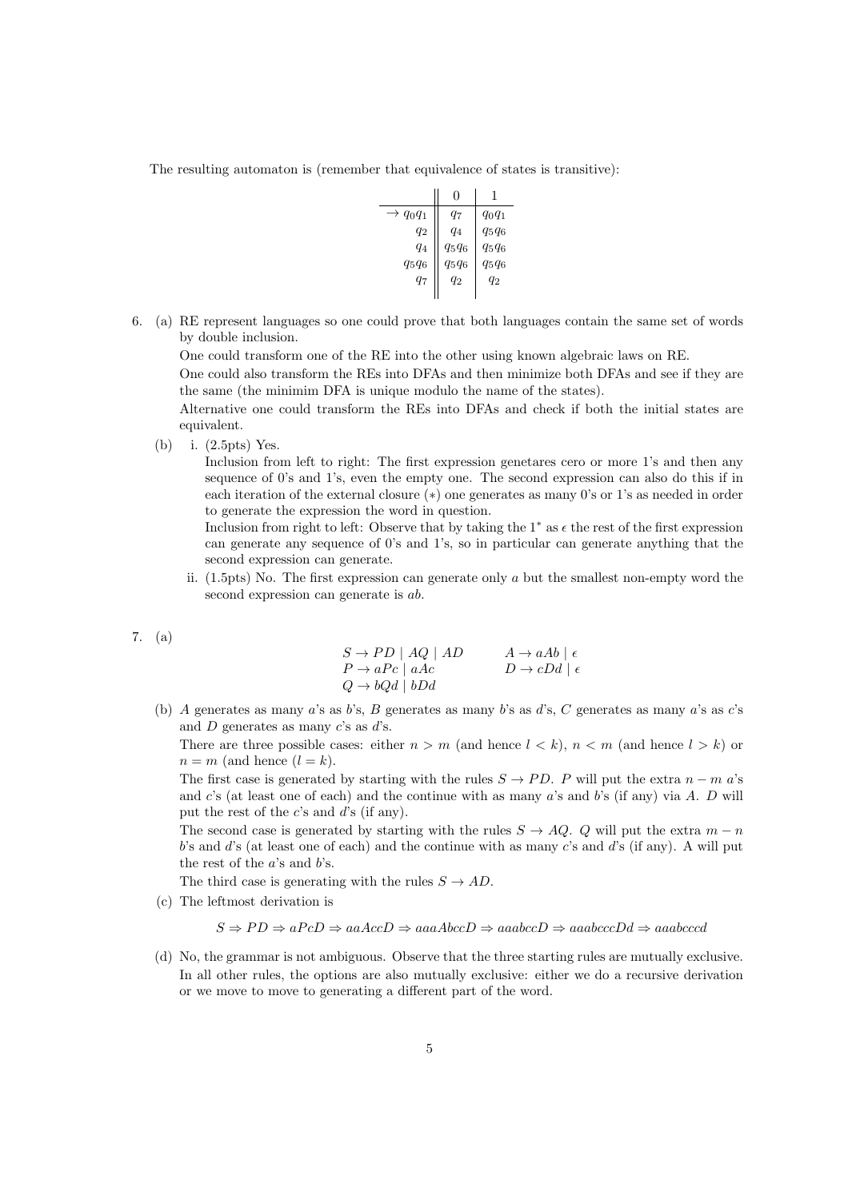The resulting automaton is (remember that equivalence of states is transitive):

|                      | 0        |          |
|----------------------|----------|----------|
| $\rightarrow q_0q_1$ | 97       | $q_0q_1$ |
| $q_2$                | $q_4$    | $q_5q_6$ |
| $q_4$                | $q_5q_6$ | $q_5q_6$ |
| $q_5q_6$             | $q_5q_6$ | $q_5q_6$ |
| $q_7$                | $q_2$    | $q_2$    |
|                      |          |          |

6. (a) RE represent languages so one could prove that both languages contain the same set of words by double inclusion.

One could transform one of the RE into the other using known algebraic laws on RE.

One could also transform the REs into DFAs and then minimize both DFAs and see if they are the same (the minimim DFA is unique modulo the name of the states).

Alternative one could transform the REs into DFAs and check if both the initial states are equivalent.

(b) i. (2.5pts) Yes.

Inclusion from left to right: The first expression genetares cero or more 1's and then any sequence of 0's and 1's, even the empty one. The second expression can also do this if in each iteration of the external closure  $(*)$  one generates as many 0's or 1's as needed in order to generate the expression the word in question.

Inclusion from right to left: Observe that by taking the 1<sup>\*</sup> as  $\epsilon$  the rest of the first expression can generate any sequence of 0's and 1's, so in particular can generate anything that the second expression can generate.

ii. (1.5pts) No. The first expression can generate only *a* but the smallest non-empty word the second expression can generate is *ab*.

7. (a)

$$
S \to PD \mid AQ \mid AD \qquad A \to aAb \mid \epsilon
$$
  
\n
$$
P \to aPc \mid aAc \qquad D \to cDd \mid \epsilon
$$
  
\n
$$
Q \to bQd \mid bDd
$$

(b) *A* generates as many *a*'s as *b*'s, *B* generates as many *b*'s as *d*'s, *C* generates as many *a*'s as *c*'s and *D* generates as many *c*'s as *d*'s.

There are three possible cases: either  $n > m$  (and hence  $l < k$ ),  $n < m$  (and hence  $l > k$ ) or  $n = m$  (and hence  $(l = k)$ .

The first case is generated by starting with the rules  $S \to PD$ . *P* will put the extra  $n - m a$ 's and *c*'s (at least one of each) and the continue with as many *a*'s and *b*'s (if any) via *A*. *D* will put the rest of the *c*'s and *d*'s (if any).

The second case is generated by starting with the rules  $S \rightarrow AQ$ . *Q* will put the extra  $m-n$ *b*'s and *d*'s (at least one of each) and the continue with as many *c*'s and *d*'s (if any). A will put the rest of the *a*'s and *b*'s.

The third case is generating with the rules  $S \rightarrow AD$ .

(c) The leftmost derivation is

$$
S \Rightarrow PD \Rightarrow aPcD \Rightarrow aaAccD \Rightarrow aaaAbccD \Rightarrow aaabccD \Rightarrow aaabccCDd \Rightarrow aaabcccd
$$

(d) No, the grammar is not ambiguous. Observe that the three starting rules are mutually exclusive. In all other rules, the options are also mutually exclusive: either we do a recursive derivation or we move to move to generating a different part of the word.